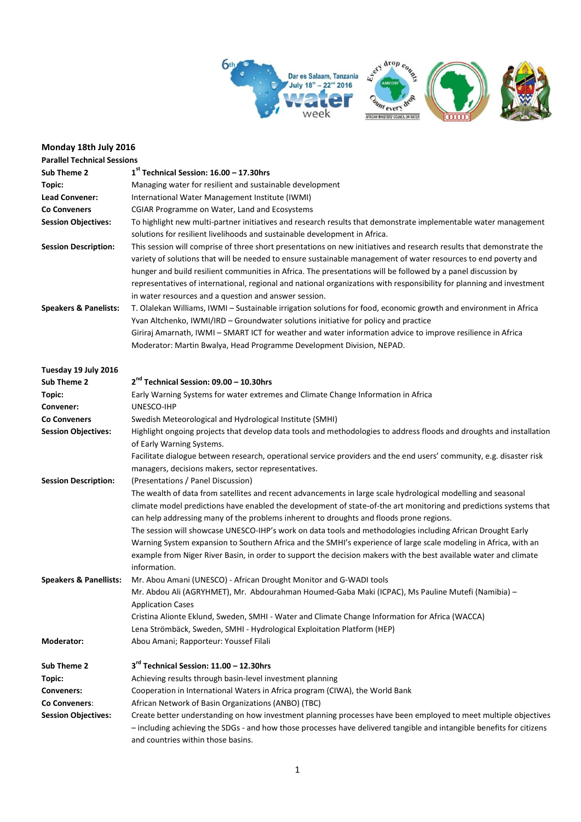





## **Monday 18th July 2016**

| <b>Parallel Technical Sessions</b> |                                                                                                                                                                                                                                                                                                                                                                                                                                                                                                                                            |
|------------------------------------|--------------------------------------------------------------------------------------------------------------------------------------------------------------------------------------------------------------------------------------------------------------------------------------------------------------------------------------------------------------------------------------------------------------------------------------------------------------------------------------------------------------------------------------------|
| Sub Theme 2                        | $1st$ Technical Session: $16.00 - 17.30$ hrs                                                                                                                                                                                                                                                                                                                                                                                                                                                                                               |
| Topic:                             | Managing water for resilient and sustainable development                                                                                                                                                                                                                                                                                                                                                                                                                                                                                   |
| Lead Convener:                     | International Water Management Institute (IWMI)                                                                                                                                                                                                                                                                                                                                                                                                                                                                                            |
| <b>Co Conveners</b>                | CGIAR Programme on Water, Land and Ecosystems                                                                                                                                                                                                                                                                                                                                                                                                                                                                                              |
| <b>Session Objectives:</b>         | To highlight new multi-partner initiatives and research results that demonstrate implementable water management                                                                                                                                                                                                                                                                                                                                                                                                                            |
|                                    | solutions for resilient livelihoods and sustainable development in Africa.                                                                                                                                                                                                                                                                                                                                                                                                                                                                 |
| <b>Session Description:</b>        | This session will comprise of three short presentations on new initiatives and research results that demonstrate the<br>variety of solutions that will be needed to ensure sustainable management of water resources to end poverty and<br>hunger and build resilient communities in Africa. The presentations will be followed by a panel discussion by<br>representatives of international, regional and national organizations with responsibility for planning and investment<br>in water resources and a question and answer session. |
| <b>Speakers &amp; Panelists:</b>   | T. Olalekan Williams, IWMI - Sustainable irrigation solutions for food, economic growth and environment in Africa                                                                                                                                                                                                                                                                                                                                                                                                                          |
|                                    | Yvan Altchenko, IWMI/IRD - Groundwater solutions initiative for policy and practice                                                                                                                                                                                                                                                                                                                                                                                                                                                        |
|                                    | Giriraj Amarnath, IWMI - SMART ICT for weather and water information advice to improve resilience in Africa                                                                                                                                                                                                                                                                                                                                                                                                                                |
|                                    | Moderator: Martin Bwalya, Head Programme Development Division, NEPAD.                                                                                                                                                                                                                                                                                                                                                                                                                                                                      |
|                                    |                                                                                                                                                                                                                                                                                                                                                                                                                                                                                                                                            |
| Tuesday 19 July 2016               |                                                                                                                                                                                                                                                                                                                                                                                                                                                                                                                                            |
| Sub Theme 2                        | 2 <sup>nd</sup> Technical Session: 09.00 - 10.30hrs                                                                                                                                                                                                                                                                                                                                                                                                                                                                                        |
| Topic:                             | Early Warning Systems for water extremes and Climate Change Information in Africa                                                                                                                                                                                                                                                                                                                                                                                                                                                          |
| Convener:                          | UNESCO-IHP                                                                                                                                                                                                                                                                                                                                                                                                                                                                                                                                 |
| <b>Co Conveners</b>                | Swedish Meteorological and Hydrological Institute (SMHI)                                                                                                                                                                                                                                                                                                                                                                                                                                                                                   |
| <b>Session Objectives:</b>         | Highlight ongoing projects that develop data tools and methodologies to address floods and droughts and installation                                                                                                                                                                                                                                                                                                                                                                                                                       |
|                                    | of Early Warning Systems.                                                                                                                                                                                                                                                                                                                                                                                                                                                                                                                  |
|                                    | Facilitate dialogue between research, operational service providers and the end users' community, e.g. disaster risk                                                                                                                                                                                                                                                                                                                                                                                                                       |
|                                    | managers, decisions makers, sector representatives.                                                                                                                                                                                                                                                                                                                                                                                                                                                                                        |
| <b>Session Description:</b>        | (Presentations / Panel Discussion)                                                                                                                                                                                                                                                                                                                                                                                                                                                                                                         |
|                                    | The wealth of data from satellites and recent advancements in large scale hydrological modelling and seasonal                                                                                                                                                                                                                                                                                                                                                                                                                              |
|                                    | climate model predictions have enabled the development of state-of-the art monitoring and predictions systems that                                                                                                                                                                                                                                                                                                                                                                                                                         |
|                                    | can help addressing many of the problems inherent to droughts and floods prone regions.                                                                                                                                                                                                                                                                                                                                                                                                                                                    |
|                                    | The session will showcase UNESCO-IHP's work on data tools and methodologies including African Drought Early                                                                                                                                                                                                                                                                                                                                                                                                                                |
|                                    | Warning System expansion to Southern Africa and the SMHI's experience of large scale modeling in Africa, with an                                                                                                                                                                                                                                                                                                                                                                                                                           |
|                                    | example from Niger River Basin, in order to support the decision makers with the best available water and climate                                                                                                                                                                                                                                                                                                                                                                                                                          |
|                                    | information.                                                                                                                                                                                                                                                                                                                                                                                                                                                                                                                               |
| <b>Speakers &amp; Panellists:</b>  | Mr. Abou Amani (UNESCO) - African Drought Monitor and G-WADI tools                                                                                                                                                                                                                                                                                                                                                                                                                                                                         |
|                                    | Mr. Abdou Ali (AGRYHMET), Mr. Abdourahman Houmed-Gaba Maki (ICPAC), Ms Pauline Mutefi (Namibia) –                                                                                                                                                                                                                                                                                                                                                                                                                                          |
|                                    | <b>Application Cases</b>                                                                                                                                                                                                                                                                                                                                                                                                                                                                                                                   |
|                                    | Cristina Alionte Eklund, Sweden, SMHI - Water and Climate Change Information for Africa (WACCA)                                                                                                                                                                                                                                                                                                                                                                                                                                            |
|                                    | Lena Strömbäck, Sweden, SMHI - Hydrological Exploitation Platform (HEP)                                                                                                                                                                                                                                                                                                                                                                                                                                                                    |
| Moderator:                         | Abou Amani; Rapporteur: Youssef Filali                                                                                                                                                                                                                                                                                                                                                                                                                                                                                                     |
|                                    |                                                                                                                                                                                                                                                                                                                                                                                                                                                                                                                                            |
| Sub Theme 2                        | 3rd Technical Session: 11.00 - 12.30hrs                                                                                                                                                                                                                                                                                                                                                                                                                                                                                                    |
| Topic:                             | Achieving results through basin-level investment planning                                                                                                                                                                                                                                                                                                                                                                                                                                                                                  |
| Conveners:                         | Cooperation in International Waters in Africa program (CIWA), the World Bank                                                                                                                                                                                                                                                                                                                                                                                                                                                               |
| Co Conveners:                      | African Network of Basin Organizations (ANBO) (TBC)                                                                                                                                                                                                                                                                                                                                                                                                                                                                                        |
| <b>Session Objectives:</b>         | Create better understanding on how investment planning processes have been employed to meet multiple objectives                                                                                                                                                                                                                                                                                                                                                                                                                            |
|                                    | - including achieving the SDGs - and how those processes have delivered tangible and intangible benefits for citizens                                                                                                                                                                                                                                                                                                                                                                                                                      |
|                                    | and countries within those basins.                                                                                                                                                                                                                                                                                                                                                                                                                                                                                                         |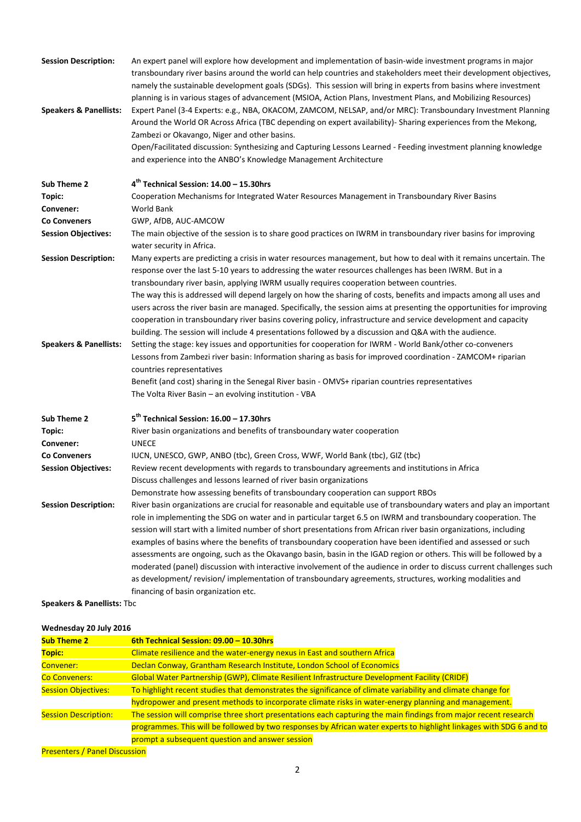| <b>Session Description:</b>       | An expert panel will explore how development and implementation of basin-wide investment programs in major<br>transboundary river basins around the world can help countries and stakeholders meet their development objectives,<br>namely the sustainable development goals (SDGs). This session will bring in experts from basins where investment<br>planning is in various stages of advancement (MSIOA, Action Plans, Investment Plans, and Mobilizing Resources) |
|-----------------------------------|------------------------------------------------------------------------------------------------------------------------------------------------------------------------------------------------------------------------------------------------------------------------------------------------------------------------------------------------------------------------------------------------------------------------------------------------------------------------|
| <b>Speakers &amp; Panellists:</b> | Expert Panel (3-4 Experts: e.g., NBA, OKACOM, ZAMCOM, NELSAP, and/or MRC): Transboundary Investment Planning<br>Around the World OR Across Africa (TBC depending on expert availability)- Sharing experiences from the Mekong,<br>Zambezi or Okavango, Niger and other basins.                                                                                                                                                                                         |
|                                   | Open/Facilitated discussion: Synthesizing and Capturing Lessons Learned - Feeding investment planning knowledge                                                                                                                                                                                                                                                                                                                                                        |
|                                   | and experience into the ANBO's Knowledge Management Architecture                                                                                                                                                                                                                                                                                                                                                                                                       |
| Sub Theme 2                       | 4 <sup>th</sup> Technical Session: 14.00 - 15.30hrs                                                                                                                                                                                                                                                                                                                                                                                                                    |
| Topic:                            | Cooperation Mechanisms for Integrated Water Resources Management in Transboundary River Basins                                                                                                                                                                                                                                                                                                                                                                         |
| Convener:                         | World Bank                                                                                                                                                                                                                                                                                                                                                                                                                                                             |
| <b>Co Conveners</b>               | GWP, AfDB, AUC-AMCOW                                                                                                                                                                                                                                                                                                                                                                                                                                                   |
| <b>Session Objectives:</b>        | The main objective of the session is to share good practices on IWRM in transboundary river basins for improving<br>water security in Africa.                                                                                                                                                                                                                                                                                                                          |
| <b>Session Description:</b>       | Many experts are predicting a crisis in water resources management, but how to deal with it remains uncertain. The<br>response over the last 5-10 years to addressing the water resources challenges has been IWRM. But in a                                                                                                                                                                                                                                           |
|                                   | transboundary river basin, applying IWRM usually requires cooperation between countries.                                                                                                                                                                                                                                                                                                                                                                               |
|                                   | The way this is addressed will depend largely on how the sharing of costs, benefits and impacts among all uses and                                                                                                                                                                                                                                                                                                                                                     |
|                                   | users across the river basin are managed. Specifically, the session aims at presenting the opportunities for improving                                                                                                                                                                                                                                                                                                                                                 |
|                                   | cooperation in transboundary river basins covering policy, infrastructure and service development and capacity                                                                                                                                                                                                                                                                                                                                                         |
|                                   | building. The session will include 4 presentations followed by a discussion and Q&A with the audience.                                                                                                                                                                                                                                                                                                                                                                 |
| <b>Speakers &amp; Panellists:</b> | Setting the stage: key issues and opportunities for cooperation for IWRM - World Bank/other co-conveners                                                                                                                                                                                                                                                                                                                                                               |
|                                   | Lessons from Zambezi river basin: Information sharing as basis for improved coordination - ZAMCOM+ riparian<br>countries representatives                                                                                                                                                                                                                                                                                                                               |
|                                   | Benefit (and cost) sharing in the Senegal River basin - OMVS+ riparian countries representatives                                                                                                                                                                                                                                                                                                                                                                       |
|                                   | The Volta River Basin - an evolving institution - VBA                                                                                                                                                                                                                                                                                                                                                                                                                  |
| Sub Theme 2                       | $5th$ Technical Session: $16.00 - 17.30$ hrs                                                                                                                                                                                                                                                                                                                                                                                                                           |
| Topic:                            | River basin organizations and benefits of transboundary water cooperation                                                                                                                                                                                                                                                                                                                                                                                              |
| Convener:                         | <b>UNECE</b>                                                                                                                                                                                                                                                                                                                                                                                                                                                           |
| <b>Co Conveners</b>               | IUCN, UNESCO, GWP, ANBO (tbc), Green Cross, WWF, World Bank (tbc), GIZ (tbc)                                                                                                                                                                                                                                                                                                                                                                                           |
| <b>Session Objectives:</b>        | Review recent developments with regards to transboundary agreements and institutions in Africa                                                                                                                                                                                                                                                                                                                                                                         |
|                                   | Discuss challenges and lessons learned of river basin organizations                                                                                                                                                                                                                                                                                                                                                                                                    |
|                                   | Demonstrate how assessing benefits of transboundary cooperation can support RBOs                                                                                                                                                                                                                                                                                                                                                                                       |
| <b>Session Description:</b>       | River basin organizations are crucial for reasonable and equitable use of transboundary waters and play an important                                                                                                                                                                                                                                                                                                                                                   |
|                                   | role in implementing the SDG on water and in particular target 6.5 on IWRM and transboundary cooperation. The                                                                                                                                                                                                                                                                                                                                                          |
|                                   | session will start with a limited number of short presentations from African river basin organizations, including                                                                                                                                                                                                                                                                                                                                                      |
|                                   | examples of basins where the benefits of transboundary cooperation have been identified and assessed or such                                                                                                                                                                                                                                                                                                                                                           |
|                                   | assessments are ongoing, such as the Okavango basin, basin in the IGAD region or others. This will be followed by a                                                                                                                                                                                                                                                                                                                                                    |
|                                   | moderated (panel) discussion with interactive involvement of the audience in order to discuss current challenges such                                                                                                                                                                                                                                                                                                                                                  |
|                                   | as development/revision/implementation of transboundary agreements, structures, working modalities and                                                                                                                                                                                                                                                                                                                                                                 |
|                                   | financing of basin organization etc.                                                                                                                                                                                                                                                                                                                                                                                                                                   |

**Speakers & Panellists:** Tbc

## **Wednesday 20 July 2016**

| <b>Sub Theme 2</b>                   | 6th Technical Session: 09.00 - 10.30hrs                                                                             |  |
|--------------------------------------|---------------------------------------------------------------------------------------------------------------------|--|
| Topic:                               | Climate resilience and the water-energy nexus in East and southern Africa                                           |  |
| Convener:                            | Declan Conway, Grantham Research Institute, London School of Economics                                              |  |
| <b>Co Conveners:</b>                 | Global Water Partnership (GWP), Climate Resilient Infrastructure Development Facility (CRIDF)                       |  |
| <b>Session Objectives:</b>           | To highlight recent studies that demonstrates the significance of climate variability and climate change for        |  |
|                                      | hydropower and present methods to incorporate climate risks in water-energy planning and management.                |  |
| <b>Session Description:</b>          | The session will comprise three short presentations each capturing the main findings from major recent research     |  |
|                                      | programmes. This will be followed by two responses by African water experts to highlight linkages with SDG 6 and to |  |
|                                      | prompt a subsequent question and answer session                                                                     |  |
| <b>Presenters / Panel Discussion</b> |                                                                                                                     |  |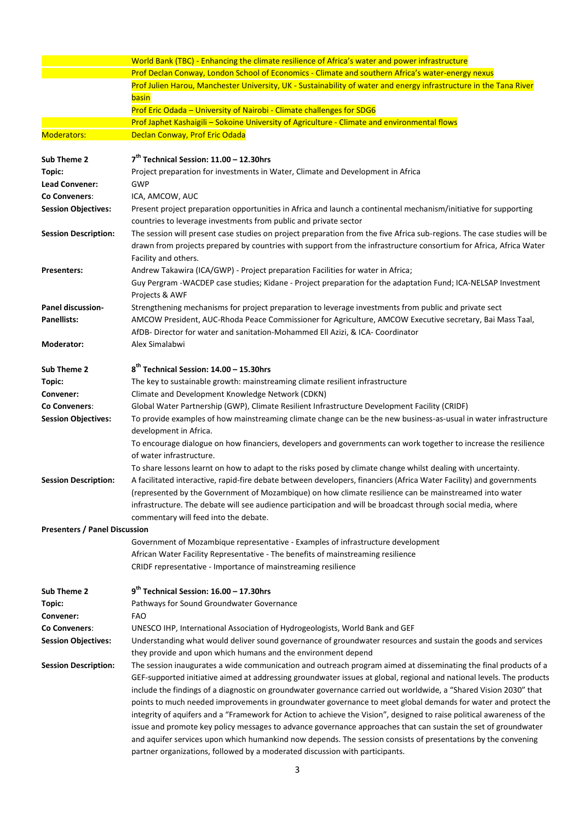|                                      | World Bank (TBC) - Enhancing the climate resilience of Africa's water and power infrastructure                                                                                                                                                                        |
|--------------------------------------|-----------------------------------------------------------------------------------------------------------------------------------------------------------------------------------------------------------------------------------------------------------------------|
|                                      | Prof Declan Conway, London School of Economics - Climate and southern Africa's water-energy nexus                                                                                                                                                                     |
|                                      | Prof Julien Harou, Manchester University, UK - Sustainability of water and energy infrastructure in the Tana River                                                                                                                                                    |
|                                      | basin                                                                                                                                                                                                                                                                 |
|                                      | Prof Eric Odada - University of Nairobi - Climate challenges for SDG6                                                                                                                                                                                                 |
|                                      | Prof Japhet Kashaigili - Sokoine University of Agriculture - Climate and environmental flows                                                                                                                                                                          |
| <b>Moderators:</b>                   | Declan Conway, Prof Eric Odada                                                                                                                                                                                                                                        |
| Sub Theme 2                          | 7 <sup>th</sup> Technical Session: 11.00 - 12.30hrs                                                                                                                                                                                                                   |
| Topic:                               | Project preparation for investments in Water, Climate and Development in Africa                                                                                                                                                                                       |
| <b>Lead Convener:</b>                | GWP                                                                                                                                                                                                                                                                   |
| Co Conveners:                        | ICA, AMCOW, AUC                                                                                                                                                                                                                                                       |
| <b>Session Objectives:</b>           | Present project preparation opportunities in Africa and launch a continental mechanism/initiative for supporting<br>countries to leverage investments from public and private sector                                                                                  |
| <b>Session Description:</b>          | The session will present case studies on project preparation from the five Africa sub-regions. The case studies will be<br>drawn from projects prepared by countries with support from the infrastructure consortium for Africa, Africa Water<br>Facility and others. |
| <b>Presenters:</b>                   | Andrew Takawira (ICA/GWP) - Project preparation Facilities for water in Africa;                                                                                                                                                                                       |
|                                      | Guy Pergram -WACDEP case studies; Kidane - Project preparation for the adaptation Fund; ICA-NELSAP Investment<br>Projects & AWF                                                                                                                                       |
| <b>Panel discussion-</b>             | Strengthening mechanisms for project preparation to leverage investments from public and private sect                                                                                                                                                                 |
| <b>Panellists:</b>                   | AMCOW President, AUC-Rhoda Peace Commissioner for Agriculture, AMCOW Executive secretary, Bai Mass Taal,                                                                                                                                                              |
|                                      | AfDB- Director for water and sanitation-Mohammed Ell Azizi, & ICA- Coordinator                                                                                                                                                                                        |
| Moderator:                           | Alex Simalabwi                                                                                                                                                                                                                                                        |
| Sub Theme 2                          | $8th$ Technical Session: $14.00 - 15.30$ hrs                                                                                                                                                                                                                          |
| Topic:                               | The key to sustainable growth: mainstreaming climate resilient infrastructure                                                                                                                                                                                         |
| Convener:                            | Climate and Development Knowledge Network (CDKN)                                                                                                                                                                                                                      |
| Co Conveners:                        | Global Water Partnership (GWP), Climate Resilient Infrastructure Development Facility (CRIDF)                                                                                                                                                                         |
| <b>Session Objectives:</b>           | To provide examples of how mainstreaming climate change can be the new business-as-usual in water infrastructure<br>development in Africa.                                                                                                                            |
|                                      | To encourage dialogue on how financiers, developers and governments can work together to increase the resilience<br>of water infrastructure.                                                                                                                          |
|                                      | To share lessons learnt on how to adapt to the risks posed by climate change whilst dealing with uncertainty.                                                                                                                                                         |
| <b>Session Description:</b>          | A facilitated interactive, rapid-fire debate between developers, financiers (Africa Water Facility) and governments                                                                                                                                                   |
|                                      | (represented by the Government of Mozambique) on how climate resilience can be mainstreamed into water                                                                                                                                                                |
|                                      | infrastructure. The debate will see audience participation and will be broadcast through social media, where                                                                                                                                                          |
|                                      | commentary will feed into the debate.                                                                                                                                                                                                                                 |
| <b>Presenters / Panel Discussion</b> |                                                                                                                                                                                                                                                                       |
|                                      | Government of Mozambique representative - Examples of infrastructure development                                                                                                                                                                                      |
|                                      | African Water Facility Representative - The benefits of mainstreaming resilience                                                                                                                                                                                      |
|                                      | CRIDF representative - Importance of mainstreaming resilience                                                                                                                                                                                                         |
| Sub Theme 2                          | 9 <sup>th</sup> Technical Session: 16.00 - 17.30hrs                                                                                                                                                                                                                   |
| Topic:                               | Pathways for Sound Groundwater Governance                                                                                                                                                                                                                             |
| Convener:                            | <b>FAO</b>                                                                                                                                                                                                                                                            |
| Co Conveners:                        | UNESCO IHP, International Association of Hydrogeologists, World Bank and GEF                                                                                                                                                                                          |
| <b>Session Objectives:</b>           | Understanding what would deliver sound governance of groundwater resources and sustain the goods and services                                                                                                                                                         |
|                                      | they provide and upon which humans and the environment depend                                                                                                                                                                                                         |
| <b>Session Description:</b>          | The session inaugurates a wide communication and outreach program aimed at disseminating the final products of a                                                                                                                                                      |
|                                      | GEF-supported initiative aimed at addressing groundwater issues at global, regional and national levels. The products                                                                                                                                                 |
|                                      | include the findings of a diagnostic on groundwater governance carried out worldwide, a "Shared Vision 2030" that                                                                                                                                                     |
|                                      | points to much needed improvements in groundwater governance to meet global demands for water and protect the                                                                                                                                                         |
|                                      | integrity of aquifers and a "Framework for Action to achieve the Vision", designed to raise political awareness of the                                                                                                                                                |
|                                      | issue and promote key policy messages to advance governance approaches that can sustain the set of groundwater                                                                                                                                                        |
|                                      | and aquifer services upon which humankind now depends. The session consists of presentations by the convening                                                                                                                                                         |
|                                      | partner organizations, followed by a moderated discussion with participants.                                                                                                                                                                                          |